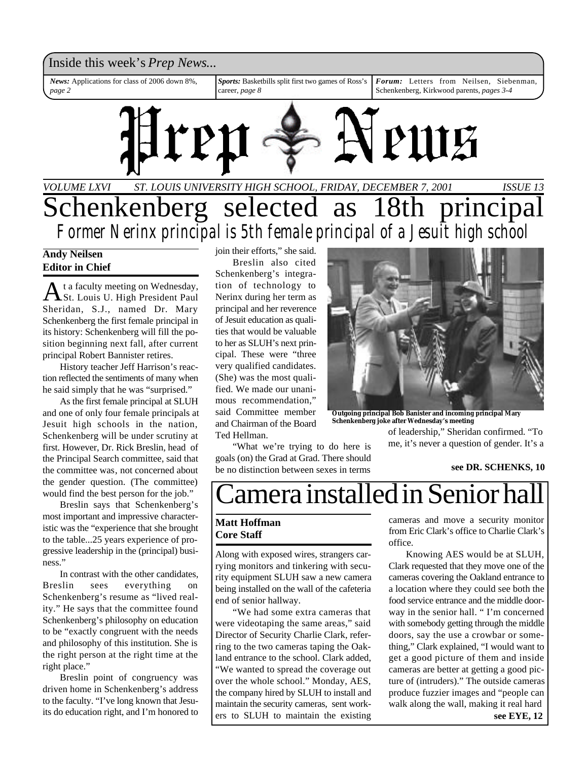### Inside this week's *Prep News*...

*Sports:* Basketbills split first two games of Ross's career, *page 8 Forum:* Letters from Neilsen, Siebenman, Schenkenberg, Kirkwood parents, *pages 3-4 News:* Applications for class of 2006 down 8%, *page 2*



## *VOLUME LXVI ISSUE 13 ST. LOUIS UNIVERSITY HIGH SCHOOL, FRIDAY, DECEMBER 7, 2001* Schenkenberg selected as 18th principal *Former Nerinx principal is 5th female principal of a Jesuit high school*

### **Andy Neilsen Editor in Chief**

A t a faculty meeting on Wednesday,<br>St. Louis U. High President Paul t a faculty meeting on Wednesday, Sheridan, S.J., named Dr. Mary Schenkenberg the first female principal in its history: Schenkenberg will fill the position beginning next fall, after current principal Robert Bannister retires.

History teacher Jeff Harrison's reaction reflected the sentiments of many when he said simply that he was "surprised."

As the first female principal at SLUH and one of only four female principals at Jesuit high schools in the nation, Schenkenberg will be under scrutiny at first. However, Dr. Rick Breslin, head of the Principal Search committee, said that the committee was, not concerned about the gender question. (The committee) would find the best person for the job."

Breslin says that Schenkenberg's most important and impressive characteristic was the "experience that she brought to the table...25 years experience of progressive leadership in the (principal) business."

In contrast with the other candidates, Breslin sees everything on Schenkenberg's resume as "lived reality." He says that the committee found Schenkenberg's philosophy on education to be "exactly congruent with the needs and philosophy of this institution. She is the right person at the right time at the right place."

Breslin point of congruency was driven home in Schenkenberg's address to the faculty. "I've long known that Jesuits do education right, and I'm honored to join their efforts," she said. Breslin also cited

Schenkenberg's integration of technology to Nerinx during her term as principal and her reverence of Jesuit education as qualities that would be valuable to her as SLUH's next principal. These were "three very qualified candidates. (She) was the most qualified. We made our unanimous recommendation," said Committee member and Chairman of the Board Ted Hellman.

"What we're trying to do here is goals (on) the Grad at Grad. There should be no distinction between sexes in terms



**Outgoing principal Bob Banister and incoming principal Mary Schenkenberg joke after Wednesday's meeting**

of leadership," Sheridan confirmed. "To me, it's never a question of gender. It's a

#### **see DR. SCHENKS, 10**

# amera installed in Senior ha

### **Matt Hoffman Core Staff**

Along with exposed wires, strangers carrying monitors and tinkering with security equipment SLUH saw a new camera being installed on the wall of the cafeteria end of senior hallway.

"We had some extra cameras that were videotaping the same areas," said Director of Security Charlie Clark, referring to the two cameras taping the Oakland entrance to the school. Clark added, "We wanted to spread the coverage out over the whole school." Monday, AES, the company hired by SLUH to install and maintain the security cameras, sent workers to SLUH to maintain the existing cameras and move a security monitor from Eric Clark's office to Charlie Clark's office.

Knowing AES would be at SLUH, Clark requested that they move one of the cameras covering the Oakland entrance to a location where they could see both the food service entrance and the middle doorway in the senior hall. " I'm concerned with somebody getting through the middle doors, say the use a crowbar or something," Clark explained, "I would want to get a good picture of them and inside cameras are better at getting a good picture of (intruders)." The outside cameras produce fuzzier images and "people can walk along the wall, making it real hard **see EYE, 12**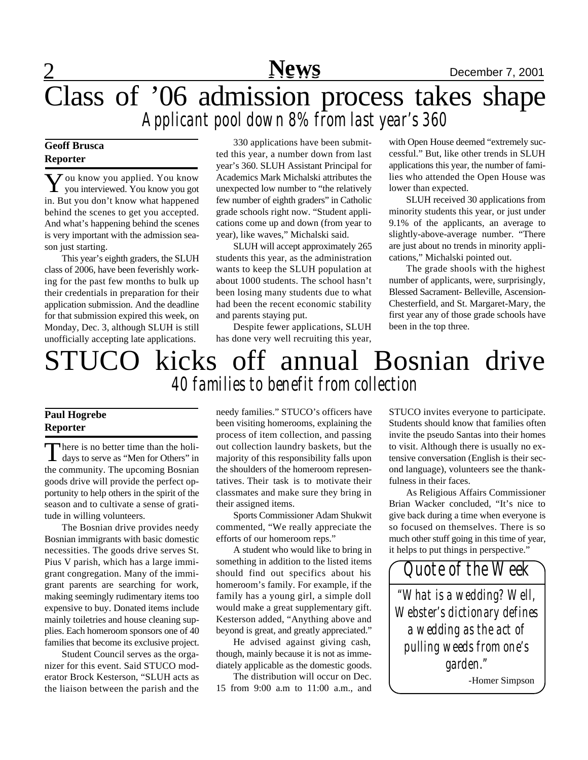# 2 **News** December 7, 2001 Class of '06 admission process takes shape *Applicant pool down 8% from last year's 360*

### **Geoff Brusca Reporter**

**Y** ou know you applied. You know<br>you interviewed. You know you got you interviewed. You know you got in. But you don't know what happened behind the scenes to get you accepted. And what's happening behind the scenes is very important with the admission season just starting.

This year's eighth graders, the SLUH class of 2006, have been feverishly working for the past few months to bulk up their credentials in preparation for their application submission. And the deadline for that submission expired this week, on Monday, Dec. 3, although SLUH is still unofficially accepting late applications.

330 applications have been submitted this year, a number down from last year's 360. SLUH Assistant Principal for Academics Mark Michalski attributes the unexpected low number to "the relatively few number of eighth graders" in Catholic grade schools right now. "Student applications come up and down (from year to year), like waves," Michalski said.

SLUH will accept approximately 265 students this year, as the administration wants to keep the SLUH population at about 1000 students. The school hasn't been losing many students due to what had been the recent economic stability and parents staying put.

Despite fewer applications, SLUH has done very well recruiting this year,

with Open House deemed "extremely successful." But, like other trends in SLUH applications this year, the number of families who attended the Open House was lower than expected.

SLUH received 30 applications from minority students this year, or just under 9.1% of the applicants, an average to slightly-above-average number. "There are just about no trends in minority applications," Michalski pointed out.

The grade shools with the highest number of applicants, were, surprisingly, Blessed Sacrament- Belleville, Ascension-Chesterfield, and St. Margaret-Mary, the first year any of those grade schools have been in the top three.

# STUCO kicks off annual Bosnian drive *40 families to benefit from collection*

### **Paul Hogrebe Reporter**

There is no better time than the holi-<br>days to serve as "Men for Others" in There is no better time than the holithe community. The upcoming Bosnian goods drive will provide the perfect opportunity to help others in the spirit of the season and to cultivate a sense of gratitude in willing volunteers.

The Bosnian drive provides needy Bosnian immigrants with basic domestic necessities. The goods drive serves St. Pius V parish, which has a large immigrant congregation. Many of the immigrant parents are searching for work, making seemingly rudimentary items too expensive to buy. Donated items include mainly toiletries and house cleaning supplies. Each homeroom sponsors one of 40 families that become its exclusive project.

Student Council serves as the organizer for this event. Said STUCO moderator Brock Kesterson, "SLUH acts as the liaison between the parish and the needy families." STUCO's officers have been visiting homerooms, explaining the process of item collection, and passing out collection laundry baskets, but the majority of this responsibility falls upon the shoulders of the homeroom representatives. Their task is to motivate their classmates and make sure they bring in their assigned items.

Sports Commissioner Adam Shukwit commented, "We really appreciate the efforts of our homeroom reps."

A student who would like to bring in something in addition to the listed items should find out specifics about his homeroom's family. For example, if the family has a young girl, a simple doll would make a great supplementary gift. Kesterson added, "Anything above and beyond is great, and greatly appreciated."

He advised against giving cash, though, mainly because it is not as immediately applicable as the domestic goods.

The distribution will occur on Dec. 15 from 9:00 a.m to 11:00 a.m., and STUCO invites everyone to participate. Students should know that families often invite the pseudo Santas into their homes to visit. Although there is usually no extensive conversation (English is their second language), volunteers see the thankfulness in their faces.

As Religious Affairs Commissioner Brian Wacker concluded, "It's nice to give back during a time when everyone is so focused on themselves. There is so much other stuff going in this time of year, it helps to put things in perspective."

*Quote of the Week "What is a wedding? Well, Webster's dictionary defines a wedding as the act of pulling weeds from one's garden."* -Homer Simpson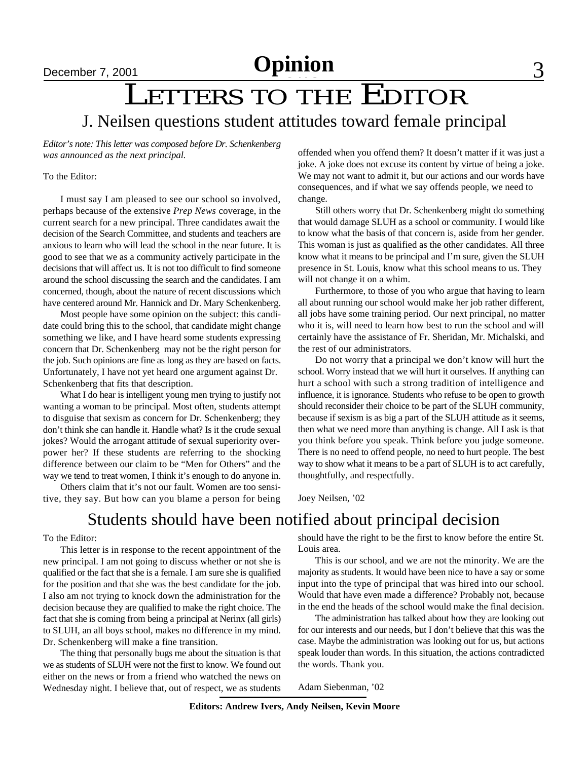# LETTERS TO THE EDITOR

J. Neilsen questions student attitudes toward female principal

*Editor's note: This letter was composed before Dr. Schenkenberg was announced as the next principal.*

#### To the Editor:

I must say I am pleased to see our school so involved, perhaps because of the extensive *Prep News* coverage, in the current search for a new principal. Three candidates await the decision of the Search Committee, and students and teachers are anxious to learn who will lead the school in the near future. It is good to see that we as a community actively participate in the decisions that will affect us. It is not too difficult to find someone around the school discussing the search and the candidates. I am concerned, though, about the nature of recent discussions which have centered around Mr. Hannick and Dr. Mary Schenkenberg.

Most people have some opinion on the subject: this candidate could bring this to the school, that candidate might change something we like, and I have heard some students expressing concern that Dr. Schenkenberg may not be the right person for the job. Such opinions are fine as long as they are based on facts. Unfortunately, I have not yet heard one argument against Dr. Schenkenberg that fits that description.

What I do hear is intelligent young men trying to justify not wanting a woman to be principal. Most often, students attempt to disguise that sexism as concern for Dr. Schenkenberg; they don't think she can handle it. Handle what? Is it the crude sexual jokes? Would the arrogant attitude of sexual superiority overpower her? If these students are referring to the shocking difference between our claim to be "Men for Others" and the way we tend to treat women, I think it's enough to do anyone in.

Others claim that it's not our fault. Women are too sensitive, they say. But how can you blame a person for being offended when you offend them? It doesn't matter if it was just a joke. A joke does not excuse its content by virtue of being a joke. We may not want to admit it, but our actions and our words have consequences, and if what we say offends people, we need to change.

Still others worry that Dr. Schenkenberg might do something that would damage SLUH as a school or community. I would like to know what the basis of that concern is, aside from her gender. This woman is just as qualified as the other candidates. All three know what it means to be principal and I'm sure, given the SLUH presence in St. Louis, know what this school means to us. They will not change it on a whim.

Furthermore, to those of you who argue that having to learn all about running our school would make her job rather different, all jobs have some training period. Our next principal, no matter who it is, will need to learn how best to run the school and will certainly have the assistance of Fr. Sheridan, Mr. Michalski, and the rest of our administrators.

Do not worry that a principal we don't know will hurt the school. Worry instead that we will hurt it ourselves. If anything can hurt a school with such a strong tradition of intelligence and influence, it is ignorance. Students who refuse to be open to growth should reconsider their choice to be part of the SLUH community, because if sexism is as big a part of the SLUH attitude as it seems, then what we need more than anything is change. All I ask is that you think before you speak. Think before you judge someone. There is no need to offend people, no need to hurt people. The best way to show what it means to be a part of SLUH is to act carefully, thoughtfully, and respectfully.

Joey Neilsen, '02

### Students should have been notified about principal decision

### To the Editor:

This letter is in response to the recent appointment of the new principal. I am not going to discuss whether or not she is qualified or the fact that she is a female. I am sure she is qualified for the position and that she was the best candidate for the job. I also am not trying to knock down the administration for the decision because they are qualified to make the right choice. The fact that she is coming from being a principal at Nerinx (all girls) to SLUH, an all boys school, makes no difference in my mind. Dr. Schenkenberg will make a fine transition.

The thing that personally bugs me about the situation is that we as students of SLUH were not the first to know. We found out either on the news or from a friend who watched the news on Wednesday night. I believe that, out of respect, we as students should have the right to be the first to know before the entire St. Louis area.

This is our school, and we are not the minority. We are the majority as students. It would have been nice to have a say or some input into the type of principal that was hired into our school. Would that have even made a difference? Probably not, because in the end the heads of the school would make the final decision.

The administration has talked about how they are looking out for our interests and our needs, but I don't believe that this was the case. Maybe the administration was looking out for us, but actions speak louder than words. In this situation, the actions contradicted the words. Thank you.

Adam Siebenman, '02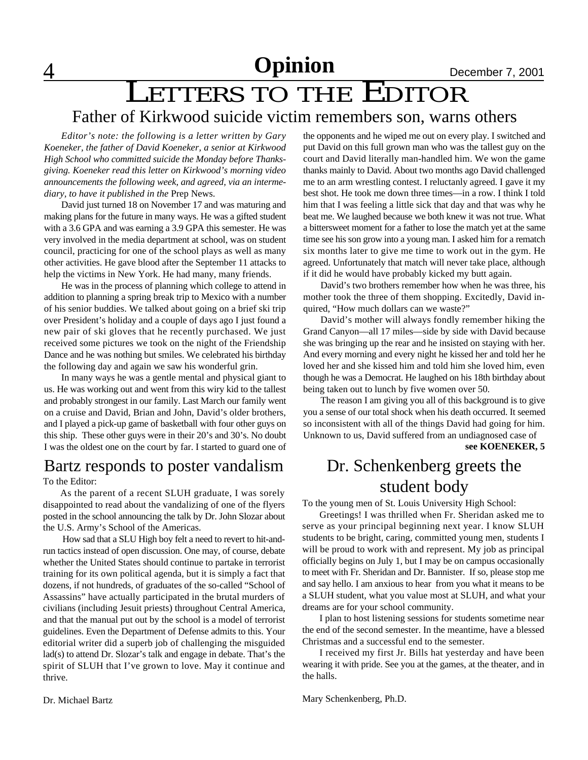4 **Opinion** December 7, 2001 **Opinion**

# LETTERS TO THE EDITOR Father of Kirkwood suicide victim remembers son, warns others

*Editor's note: the following is a letter written by Gary Koeneker, the father of David Koeneker, a senior at Kirkwood High School who committed suicide the Monday before Thanksgiving. Koeneker read this letter on Kirkwood's morning video announcements the following week, and agreed, via an intermediary, to have it published in the* Prep News.

David just turned 18 on November 17 and was maturing and making plans for the future in many ways. He was a gifted student with a 3.6 GPA and was earning a 3.9 GPA this semester. He was very involved in the media department at school, was on student council, practicing for one of the school plays as well as many other activities. He gave blood after the September 11 attacks to help the victims in New York. He had many, many friends.

He was in the process of planning which college to attend in addition to planning a spring break trip to Mexico with a number of his senior buddies. We talked about going on a brief ski trip over President's holiday and a couple of days ago I just found a new pair of ski gloves that he recently purchased. We just received some pictures we took on the night of the Friendship Dance and he was nothing but smiles. We celebrated his birthday the following day and again we saw his wonderful grin.

In many ways he was a gentle mental and physical giant to us. He was working out and went from this wiry kid to the tallest and probably strongest in our family. Last March our family went on a cruise and David, Brian and John, David's older brothers, and I played a pick-up game of basketball with four other guys on this ship. These other guys were in their 20's and 30's. No doubt I was the oldest one on the court by far. I started to guard one of

### Bartz responds to poster vandalism

To the Editor:

As the parent of a recent SLUH graduate, I was sorely disappointed to read about the vandalizing of one of the flyers posted in the school announcing the talk by Dr. John Slozar about the U.S. Army's School of the Americas.

 How sad that a SLU High boy felt a need to revert to hit-andrun tactics instead of open discussion. One may, of course, debate whether the United States should continue to partake in terrorist training for its own political agenda, but it is simply a fact that dozens, if not hundreds, of graduates of the so-called "School of Assassins" have actually participated in the brutal murders of civilians (including Jesuit priests) throughout Central America, and that the manual put out by the school is a model of terrorist guidelines. Even the Department of Defense admits to this. Your editorial writer did a superb job of challenging the misguided lad(s) to attend Dr. Slozar's talk and engage in debate. That's the spirit of SLUH that I've grown to love. May it continue and thrive.

the opponents and he wiped me out on every play. I switched and put David on this full grown man who was the tallest guy on the court and David literally man-handled him. We won the game thanks mainly to David. About two months ago David challenged me to an arm wrestling contest. I reluctanly agreed. I gave it my best shot. He took me down three times—in a row. I think I told him that I was feeling a little sick that day and that was why he beat me. We laughed because we both knew it was not true. What a bittersweet moment for a father to lose the match yet at the same time see his son grow into a young man. I asked him for a rematch six months later to give me time to work out in the gym. He agreed. Unfortunately that match will never take place, although if it did he would have probably kicked my butt again.

David's two brothers remember how when he was three, his mother took the three of them shopping. Excitedly, David inquired, "How much dollars can we waste?"

David's mother will always fondly remember hiking the Grand Canyon—all 17 miles—side by side with David because she was bringing up the rear and he insisted on staying with her. And every morning and every night he kissed her and told her he loved her and she kissed him and told him she loved him, even though he was a Democrat. He laughed on his 18th birthday about being taken out to lunch by five women over 50.

The reason I am giving you all of this background is to give you a sense of our total shock when his death occurred. It seemed so inconsistent with all of the things David had going for him. Unknown to us, David suffered from an undiagnosed case of **see KOENEKER, 5**

Dr. Schenkenberg greets the

# student body

To the young men of St. Louis University High School:

Greetings! I was thrilled when Fr. Sheridan asked me to serve as your principal beginning next year. I know SLUH students to be bright, caring, committed young men, students I will be proud to work with and represent. My job as principal officially begins on July 1, but I may be on campus occasionally to meet with Fr. Sheridan and Dr. Bannister. If so, please stop me and say hello. I am anxious to hear from you what it means to be a SLUH student, what you value most at SLUH, and what your dreams are for your school community.

I plan to host listening sessions for students sometime near the end of the second semester. In the meantime, have a blessed Christmas and a successful end to the semester.

I received my first Jr. Bills hat yesterday and have been wearing it with pride. See you at the games, at the theater, and in the halls.

Mary Schenkenberg, Ph.D.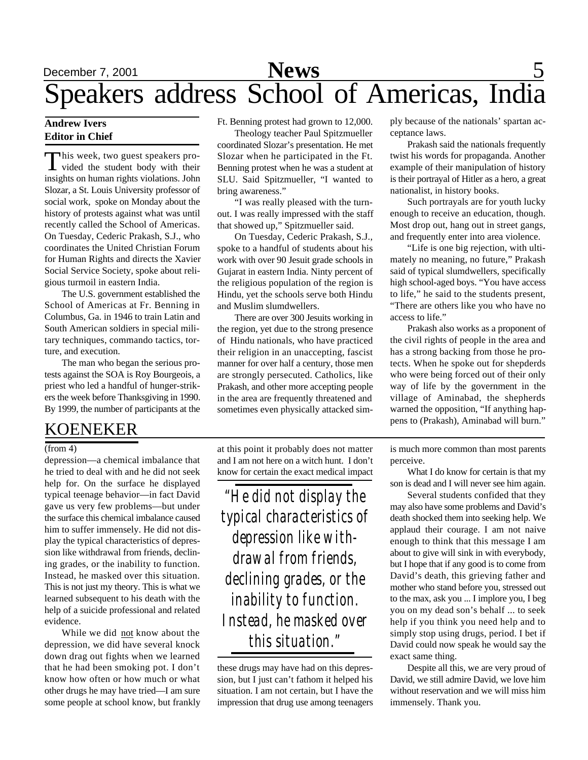# December 7, 2001 **News** 5 Speakers address School of Americas, India

### **Andrew Ivers Editor in Chief**

This week, two guest speakers pro-<br>vided the student body with their his week, two guest speakers proinsights on human rights violations. John Slozar, a St. Louis University professor of social work, spoke on Monday about the history of protests against what was until recently called the School of Americas. On Tuesday, Cederic Prakash, S.J., who coordinates the United Christian Forum for Human Rights and directs the Xavier Social Service Society, spoke about religious turmoil in eastern India.

The U.S. government established the School of Americas at Fr. Benning in Columbus, Ga. in 1946 to train Latin and South American soldiers in special military techniques, commando tactics, torture, and execution.

The man who began the serious protests against the SOA is Roy Bourgeois, a priest who led a handful of hunger-strikers the week before Thanksgiving in 1990. By 1999, the number of participants at the

### KOENEKER

#### $(from 4)$

depression—a chemical imbalance that he tried to deal with and he did not seek help for. On the surface he displayed typical teenage behavior—in fact David gave us very few problems—but under the surface this chemical imbalance caused him to suffer immensely. He did not display the typical characteristics of depression like withdrawal from friends, declining grades, or the inability to function. Instead, he masked over this situation. This is not just my theory. This is what we learned subsequent to his death with the help of a suicide professional and related evidence.

While we did not know about the depression, we did have several knock down drag out fights when we learned that he had been smoking pot. I don't know how often or how much or what other drugs he may have tried—I am sure some people at school know, but frankly Ft. Benning protest had grown to 12,000.

Theology teacher Paul Spitzmueller coordinated Slozar's presentation. He met Slozar when he participated in the Ft. Benning protest when he was a student at SLU. Said Spitzmueller, "I wanted to bring awareness."

"I was really pleased with the turnout. I was really impressed with the staff that showed up," Spitzmueller said.

On Tuesday, Cederic Prakash, S.J., spoke to a handful of students about his work with over 90 Jesuit grade schools in Gujarat in eastern India. Ninty percent of the religious population of the region is Hindu, yet the schools serve both Hindu and Muslim slumdwellers.

There are over 300 Jesuits working in the region, yet due to the strong presence of Hindu nationals, who have practiced their religion in an unaccepting, fascist manner for over half a century, those men are strongly persecuted. Catholics, like Prakash, and other more accepting people in the area are frequently threatened and sometimes even physically attacked sim-

at this point it probably does not matter and I am not here on a witch hunt. I don't know for certain the exact medical impact

*"He did not display the typical characteristics of depression like withdrawal from friends, declining grades, or the inability to function. Instead, he masked over this situation."*

these drugs may have had on this depression, but I just can't fathom it helped his situation. I am not certain, but I have the impression that drug use among teenagers ply because of the nationals' spartan acceptance laws.

Prakash said the nationals frequently twist his words for propaganda. Another example of their manipulation of history is their portrayal of Hitler as a hero, a great nationalist, in history books.

Such portrayals are for youth lucky enough to receive an education, though. Most drop out, hang out in street gangs, and frequently enter into area violence.

"Life is one big rejection, with ultimately no meaning, no future," Prakash said of typical slumdwellers, specifically high school-aged boys. "You have access to life," he said to the students present, "There are others like you who have no access to life."

Prakash also works as a proponent of the civil rights of people in the area and has a strong backing from those he protects. When he spoke out for shepderds who were being forced out of their only way of life by the government in the village of Aminabad, the shepherds warned the opposition, "If anything happens to (Prakash), Aminabad will burn."

is much more common than most parents perceive.

What I do know for certain is that my son is dead and I will never see him again.

Several students confided that they may also have some problems and David's death shocked them into seeking help. We applaud their courage. I am not naive enough to think that this message I am about to give will sink in with everybody, but I hope that if any good is to come from David's death, this grieving father and mother who stand before you, stressed out to the max, ask you ... I implore you, I beg you on my dead son's behalf ... to seek help if you think you need help and to simply stop using drugs, period. I bet if David could now speak he would say the exact same thing.

Despite all this, we are very proud of David, we still admire David, we love him without reservation and we will miss him immensely. Thank you.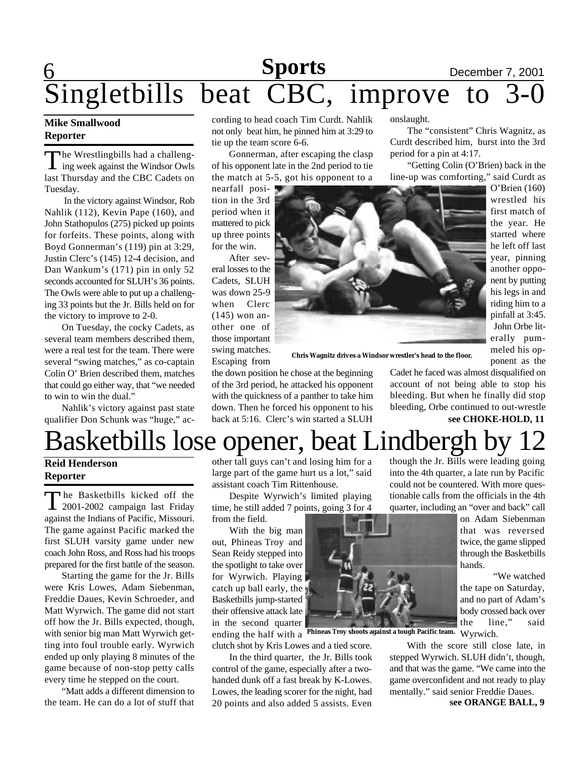## **6 Sports** December 7, 2001 Singletbills beat CBC, improve to 3-0 **Sports**

### **Mike Smallwood Reporter**

The Wrestlingbills had a challeng-<br>ing week against the Windsor Owls he Wrestlingbills had a challenglast Thursday and the CBC Cadets on Tuesday.

 In the victory against Windsor, Rob Nahlik (112), Kevin Pape (160), and John Stathopulos (275) picked up points for forfeits. These points, along with Boyd Gonnerman's (119) pin at 3:29, Justin Clerc's (145) 12-4 decision, and Dan Wankum's (171) pin in only 52 seconds accounted for SLUH's 36 points. The Owls were able to put up a challenging 33 points but the Jr. Bills held on for the victory to improve to 2-0.

On Tuesday, the cocky Cadets, as several team members described them, were a real test for the team. There were several "swing matches," as co-captain Colin O' Brien described them, matches that could go either way, that "we needed to win to win the dual."

Nahlik's victory against past state qualifier Don Schunk was "huge," according to head coach Tim Curdt. Nahlik not only beat him, he pinned him at 3:29 to tie up the team score 6-6.

Gonnerman, after escaping the clasp of his opponent late in the 2nd period to tie the match at 5-5, got his opponent to a

nearfall position in the 3rd period when it mattered to pick up three points for the win.

After several losses to the Cadets, SLUH was down 25-9 when Clerc (145) won another one of those important swing matches. Escaping from



**Chris Wagnitz drives a Windsor wrestler's head to the floor.**

the down position he chose at the beginning of the 3rd period, he attacked his opponent with the quickness of a panther to take him down. Then he forced his opponent to his back at 5:16. Clerc's win started a SLUH

onslaught.

The "consistent" Chris Wagnitz, as Curdt described him, burst into the 3rd period for a pin at 4:17.

"Getting Colin (O'Brien) back in the line-up was comforting," said Curdt as

O'Brien (160) wrestled his first match of the year. He started where he left off last year, pinning another opponent by putting his legs in and riding him to a pinfall at 3:45. John Orbe literally pummeled his opponent as the

Cadet he faced was almost disqualified on account of not being able to stop his bleeding. But when he finally did stop bleeding, Orbe continued to out-wrestle

into the 4th quarter, a late run by Pacific could not be countered. With more questionable calls from the officials in the 4th

hands.

### **see CHOKE-HOLD, 11**

on Adam Siebenman that was reversed twice, the game slipped through the Basketbills

the tape on Saturday, and no part of Adam's body crossed back over the line," said

"We watched

## Basketbills lose opener, beat Lindbergh by though the Jr. Bills were leading going

### **Reid Henderson Reporter**

The Basketbills kicked off the<br>
2001-2002 campaign last Friday 2001-2002 campaign last Friday against the Indians of Pacific, Missouri. The game against Pacific marked the first SLUH varsity game under new coach John Ross, and Ross had his troops prepared for the first battle of the season.

Starting the game for the Jr. Bills were Kris Lowes, Adam Siebenman, Freddie Daues, Kevin Schroeder, and Matt Wyrwich. The game did not start off how the Jr. Bills expected, though, with senior big man Matt Wyrwich getting into foul trouble early. Wyrwich ended up only playing 8 minutes of the game because of non-stop petty calls every time he stepped on the court.

"Matt adds a different dimension to the team. He can do a lot of stuff that other tall guys can't and losing him for a large part of the game hurt us a lot," said assistant coach Tim Rittenhouse.

Despite Wyrwich's limited playing time, he still added 7 points, going 3 for 4 from the field.

With the big man out, Phineas Troy and Sean Reidy stepped into the spotlight to take over for Wyrwich. Playing catch up ball early, the Basketbills jump-started their offensive attack late in the second quarter

ending the half with a Wyrwich. **Phineas Troy shoots against a tough Pacific team.** clutch shot by Kris Lowes and a tied score.

In the third quarter, the Jr. Bills took control of the game, especially after a twohanded dunk off a fast break by K-Lowes. Lowes, the leading scorer for the night, had 20 points and also added 5 assists. Even



With the score still close late, in stepped Wyrwich. SLUH didn't, though, and that was the game. "We came into the game overconfident and not ready to play mentally." said senior Freddie Daues.

**see ORANGE BALL, 9**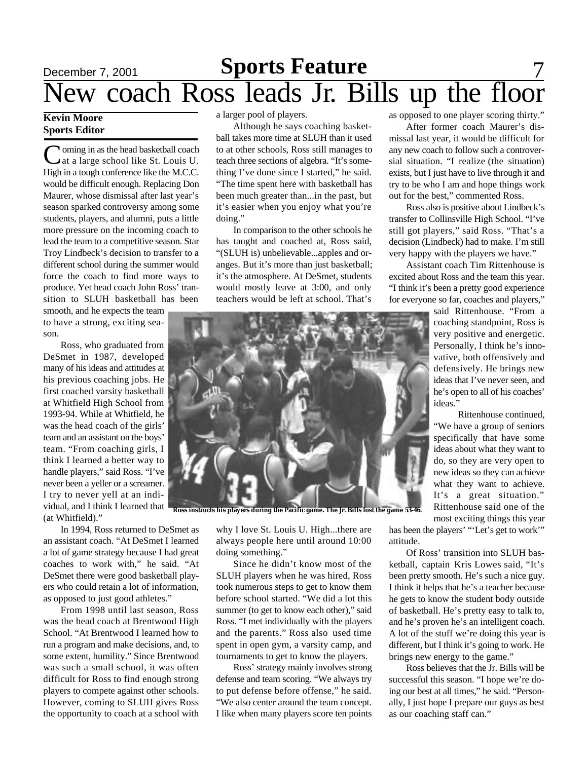### December 7, 2001 **Sports Feature** 7 New coach Ross leads Jr. Bills up the floor **Sports Feature**

### **Kevin Moore Sports Editor**

Coming in as the head basketball coach<br>at a large school like St. Louis U. at a large school like St. Louis U. High in a tough conference like the M.C.C. would be difficult enough. Replacing Don Maurer, whose dismissal after last year's season sparked controversy among some students, players, and alumni, puts a little more pressure on the incoming coach to lead the team to a competitive season. Star Troy Lindbeck's decision to transfer to a different school during the summer would force the coach to find more ways to produce. Yet head coach John Ross' transition to SLUH basketball has been

smooth, and he expects the team to have a strong, exciting season.

Ross, who graduated from DeSmet in 1987, developed many of his ideas and attitudes at his previous coaching jobs. He first coached varsity basketball at Whitfield High School from 1993-94. While at Whitfield, he was the head coach of the girls' team and an assistant on the boys' team. "From coaching girls, I think I learned a better way to handle players," said Ross. "I've never been a yeller or a screamer. I try to never yell at an individual, and I think I learned that (at Whitfield)."

In 1994, Ross returned to DeSmet as an assistant coach. "At DeSmet I learned a lot of game strategy because I had great coaches to work with," he said. "At DeSmet there were good basketball players who could retain a lot of information, as opposed to just good athletes."

From 1998 until last season, Ross was the head coach at Brentwood High School. "At Brentwood I learned how to run a program and make decisions, and, to some extent, humility." Since Brentwood was such a small school, it was often difficult for Ross to find enough strong players to compete against other schools. However, coming to SLUH gives Ross the opportunity to coach at a school with a larger pool of players.

Although he says coaching basketball takes more time at SLUH than it used to at other schools, Ross still manages to teach three sections of algebra. "It's something I've done since I started," he said. "The time spent here with basketball has been much greater than...in the past, but it's easier when you enjoy what you're doing."

In comparison to the other schools he has taught and coached at, Ross said, "(SLUH is) unbelievable...apples and oranges. But it's more than just basketball; it's the atmosphere. At DeSmet, students would mostly leave at 3:00, and only teachers would be left at school. That's

as opposed to one player scoring thirty."

After former coach Maurer's dismissal last year, it would be difficult for any new coach to follow such a controversial situation. "I realize (the situation) exists, but I just have to live through it and try to be who I am and hope things work out for the best," commented Ross.

Ross also is positive about Lindbeck's transfer to Collinsville High School. "I've still got players," said Ross. "That's a decision (Lindbeck) had to make. I'm still very happy with the players we have."

Assistant coach Tim Rittenhouse is excited about Ross and the team this year. "I think it's been a pretty good experience for everyone so far, coaches and players,"

> said Rittenhouse. "From a coaching standpoint, Ross is very positive and energetic. Personally, I think he's innovative, both offensively and defensively. He brings new ideas that I've never seen, and he's open to all of his coaches' ideas."

> Rittenhouse continued, "We have a group of seniors specifically that have some ideas about what they want to do, so they are very open to new ideas so they can achieve what they want to achieve. It's a great situation." Rittenhouse said one of the most exciting things this year

why I love St. Louis U. High...there are always people here until around 10:00 doing something."

Since he didn't know most of the SLUH players when he was hired, Ross took numerous steps to get to know them before school started. "We did a lot this summer (to get to know each other)," said Ross. "I met individually with the players and the parents." Ross also used time spent in open gym, a varsity camp, and tournaments to get to know the players.

Ross' strategy mainly involves strong defense and team scoring. "We always try to put defense before offense," he said. "We also center around the team concept. I like when many players score ten points

has been the players' "'Let's get to work'" attitude.

Of Ross' transition into SLUH basketball, captain Kris Lowes said, "It's been pretty smooth. He's such a nice guy. I think it helps that he's a teacher because he gets to know the student body outside of basketball. He's pretty easy to talk to, and he's proven he's an intelligent coach. A lot of the stuff we're doing this year is different, but I think it's going to work. He brings new energy to the game."

Ross believes that the Jr. Bills will be successful this season. "I hope we're doing our best at all times," he said. "Personally, I just hope I prepare our guys as best as our coaching staff can."

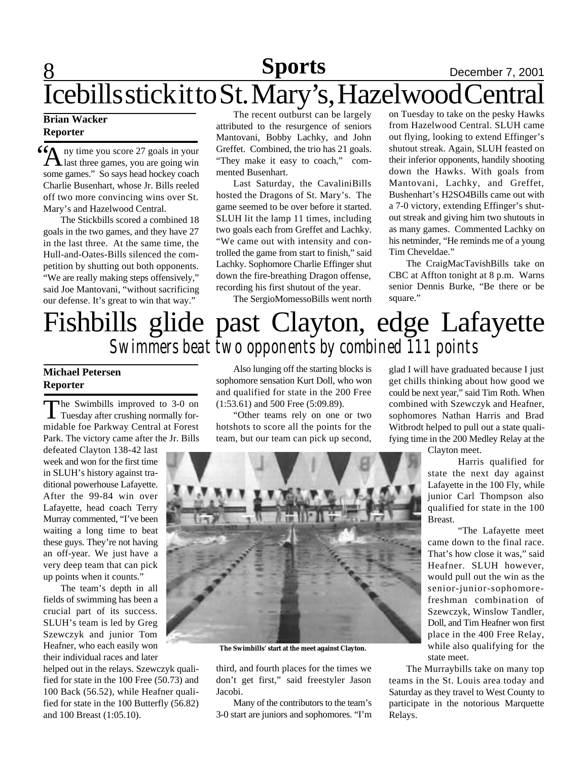## **8 News News** December 7, 2001 Icebills stick it to St. Mary's, Hazelwood Central **Sports**

### **Brian Wacker Reporter**

 $\sum_{n=1}^{\infty}$  and three games, you are going win ny time you score 27 goals in your some games." So says head hockey coach Charlie Busenhart, whose Jr. Bills reeled off two more convincing wins over St. Mary's and Hazelwood Central.

The Stickbills scored a combined 18 goals in the two games, and they have 27 in the last three. At the same time, the Hull-and-Oates-Bills silenced the competition by shutting out both opponents. "We are really making steps offensively," said Joe Mantovani, "without sacrificing our defense. It's great to win that way."

The recent outburst can be largely attributed to the resurgence of seniors Mantovani, Bobby Lachky, and John Greffet. Combined, the trio has 21 goals. "They make it easy to coach," commented Busenhart.

Last Saturday, the CavaliniBills hosted the Dragons of St. Mary's. The game seemed to be over before it started. SLUH lit the lamp 11 times, including two goals each from Greffet and Lachky. "We came out with intensity and controlled the game from start to finish," said Lachky. Sophomore Charlie Effinger shut down the fire-breathing Dragon offense, recording his first shutout of the year.

The SergioMomessoBills went north

on Tuesday to take on the pesky Hawks from Hazelwood Central. SLUH came out flying, looking to extend Effinger's shutout streak. Again, SLUH feasted on their inferior opponents, handily shooting down the Hawks. With goals from Mantovani, Lachky, and Greffet, Bushenhart's H2SO4Bills came out with a 7-0 victory, extending Effinger's shutout streak and giving him two shutouts in as many games. Commented Lachky on his netminder, "He reminds me of a young Tim Cheveldae."

The CraigMacTavishBills take on CBC at Affton tonight at 8 p.m. Warns senior Dennis Burke, "Be there or be square."

# Fishbills glide past Clayton, edge Lafayette *Swimmers beat two opponents by combined 111 points*

### **Michael Petersen Reporter**

The Swimbills improved to 3-0 on<br>Tuesday after crushing normally forhe Swimbills improved to 3-0 on midable foe Parkway Central at Forest Park. The victory came after the Jr. Bills

defeated Clayton 138-42 last week and won for the first time in SLUH's history against traditional powerhouse Lafayette. After the 99-84 win over Lafayette, head coach Terry Murray commented, "I've been waiting a long time to beat these guys. They're not having an off-year. We just have a very deep team that can pick up points when it counts."

The team's depth in all fields of swimming has been a crucial part of its success. SLUH's team is led by Greg Szewczyk and junior Tom Heafner, who each easily won their individual races and later

helped out in the relays. Szewczyk qualified for state in the 100 Free (50.73) and 100 Back (56.52), while Heafner qualified for state in the 100 Butterfly (56.82) and 100 Breast (1:05.10).

Also lunging off the starting blocks is sophomore sensation Kurt Doll, who won and qualified for state in the 200 Free (1:53.61) and 500 Free (5:09.89).

"Other teams rely on one or two hotshots to score all the points for the team, but our team can pick up second,



**The Swimbills' start at the meet against Clayton.**

third, and fourth places for the times we don't get first," said freestyler Jason Jacobi.

Many of the contributors to the team's 3-0 start are juniors and sophomores. "I'm

glad I will have graduated because I just get chills thinking about how good we could be next year," said Tim Roth. When combined with Szewczyk and Heafner, sophomores Nathan Harris and Brad Witbrodt helped to pull out a state qualifying time in the 200 Medley Relay at the

Clayton meet.

Harris qualified for state the next day against Lafayette in the 100 Fly, while junior Carl Thompson also qualified for state in the 100 Breast.

"The Lafayette meet came down to the final race. That's how close it was," said Heafner. SLUH however, would pull out the win as the senior-junior-sophomorefreshman combination of Szewczyk, Winslow Tandler, Doll, and Tim Heafner won first place in the 400 Free Relay, while also qualifying for the state meet.

The Murraybills take on many top teams in the St. Louis area today and Saturday as they travel to West County to participate in the notorious Marquette Relays.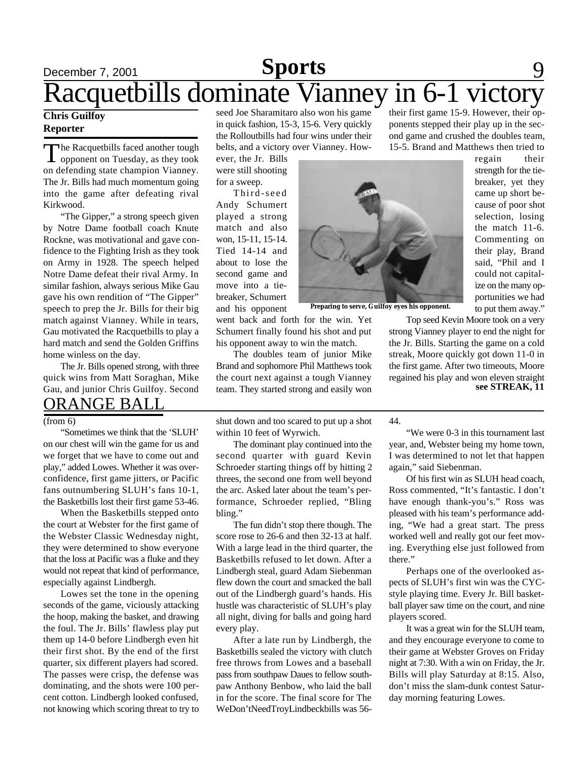### December 7, 2001 **Sports** 9 Racquetbills dominate Vianney in 6-1 victory **Sports**

### **Chris Guilfoy Reporter**

The Racquetbills faced another tough<br>opponent on Tuesday, as they took The Racquetbills faced another tough on defending state champion Vianney. The Jr. Bills had much momentum going into the game after defeating rival Kirkwood.

"The Gipper," a strong speech given by Notre Dame football coach Knute Rockne, was motivational and gave confidence to the Fighting Irish as they took on Army in 1928. The speech helped Notre Dame defeat their rival Army. In similar fashion, always serious Mike Gau gave his own rendition of "The Gipper" speech to prep the Jr. Bills for their big match against Vianney. While in tears, Gau motivated the Racquetbills to play a hard match and send the Golden Griffins home winless on the day.

The Jr. Bills opened strong, with three quick wins from Matt Soraghan, Mike Gau, and junior Chris Guilfoy. Second

### ORANGE BALL

#### (from 6)

"Sometimes we think that the 'SLUH' on our chest will win the game for us and we forget that we have to come out and play," added Lowes. Whether it was overconfidence, first game jitters, or Pacific fans outnumbering SLUH's fans 10-1, the Basketbills lost their first game 53-46.

When the Basketbills stepped onto the court at Webster for the first game of the Webster Classic Wednesday night, they were determined to show everyone that the loss at Pacific was a fluke and they would not repeat that kind of performance, especially against Lindbergh.

Lowes set the tone in the opening seconds of the game, viciously attacking the hoop, making the basket, and drawing the foul. The Jr. Bills' flawless play put them up 14-0 before Lindbergh even hit their first shot. By the end of the first quarter, six different players had scored. The passes were crisp, the defense was dominating, and the shots were 100 percent cotton. Lindbergh looked confused, not knowing which scoring threat to try to

seed Joe Sharamitaro also won his game in quick fashion, 15-3, 15-6. Very quickly the Rolloutbills had four wins under their belts, and a victory over Vianney. How-

ever, the Jr. Bills were still shooting for a sweep.

Third-seed Andy Schumert played a strong match and also won, 15-11, 15-14. Tied 14-14 and about to lose the second game and move into a tiebreaker, Schumert and his opponent

went back and forth for the win. Yet Schumert finally found his shot and put his opponent away to win the match.

The doubles team of junior Mike Brand and sophomore Phil Matthews took the court next against a tough Vianney team. They started strong and easily won

their first game 15-9. However, their opponents stepped their play up in the second game and crushed the doubles team, 15-5. Brand and Matthews then tried to

> regain their strength for the tiebreaker, yet they came up short because of poor shot selection, losing the match 11-6. Commenting on their play, Brand said, "Phil and I could not capitalize on the many opportunities we had to put them away."



**Preparing to serve, Guilfoy eyes his opponent.**

Top seed Kevin Moore took on a very strong Vianney player to end the night for the Jr. Bills. Starting the game on a cold streak, Moore quickly got down 11-0 in the first game. After two timeouts, Moore regained his play and won eleven straight **see STREAK, 11**

shut down and too scared to put up a shot within 10 feet of Wyrwich.

The dominant play continued into the second quarter with guard Kevin Schroeder starting things off by hitting 2 threes, the second one from well beyond the arc. Asked later about the team's performance, Schroeder replied, "Bling bling."

The fun didn't stop there though. The score rose to 26-6 and then 32-13 at half. With a large lead in the third quarter, the Basketbills refused to let down. After a Lindbergh steal, guard Adam Siebenman flew down the court and smacked the ball out of the Lindbergh guard's hands. His hustle was characteristic of SLUH's play all night, diving for balls and going hard every play.

After a late run by Lindbergh, the Basketbills sealed the victory with clutch free throws from Lowes and a baseball pass from southpaw Daues to fellow southpaw Anthony Benbow, who laid the ball in for the score. The final score for The WeDon'tNeedTroyLindbeckbills was 5644.

"We were 0-3 in this tournament last year, and, Webster being my home town, I was determined to not let that happen again," said Siebenman.

Of his first win as SLUH head coach, Ross commented, "It's fantastic. I don't have enough thank-you's." Ross was pleased with his team's performance adding, "We had a great start. The press worked well and really got our feet moving. Everything else just followed from there."

Perhaps one of the overlooked aspects of SLUH's first win was the CYCstyle playing time. Every Jr. Bill basketball player saw time on the court, and nine players scored.

It was a great win for the SLUH team, and they encourage everyone to come to their game at Webster Groves on Friday night at 7:30. With a win on Friday, the Jr. Bills will play Saturday at 8:15. Also, don't miss the slam-dunk contest Saturday morning featuring Lowes.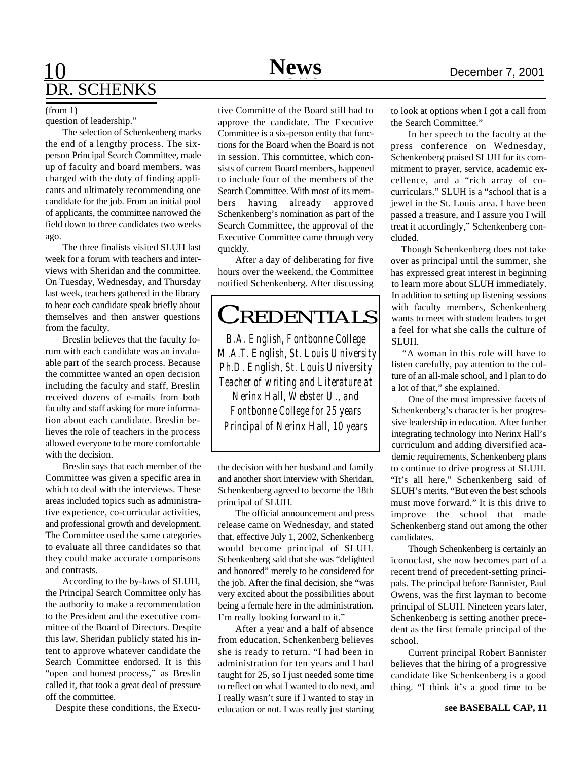# 10 **News** December 7, 2001 DR. SCHENKS

#### (from 1)

question of leadership."

The selection of Schenkenberg marks the end of a lengthy process. The sixperson Principal Search Committee, made up of faculty and board members, was charged with the duty of finding applicants and ultimately recommending one candidate for the job. From an initial pool of applicants, the committee narrowed the field down to three candidates two weeks ago.

The three finalists visited SLUH last week for a forum with teachers and interviews with Sheridan and the committee. On Tuesday, Wednesday, and Thursday last week, teachers gathered in the library to hear each candidate speak briefly about themselves and then answer questions from the faculty.

Breslin believes that the faculty forum with each candidate was an invaluable part of the search process. Because the committee wanted an open decision including the faculty and staff, Breslin received dozens of e-mails from both faculty and staff asking for more information about each candidate. Breslin believes the role of teachers in the process allowed everyone to be more comfortable with the decision.

Breslin says that each member of the Committee was given a specific area in which to deal with the interviews. These areas included topics such as administrative experience, co-curricular activities, and professional growth and development. The Committee used the same categories to evaluate all three candidates so that they could make accurate comparisons and contrasts.

According to the by-laws of SLUH, the Principal Search Committee only has the authority to make a recommendation to the President and the executive committee of the Board of Directors. Despite this law, Sheridan publicly stated his intent to approve whatever candidate the Search Committee endorsed. It is this "open and honest process," as Breslin called it, that took a great deal of pressure off the committee.

Despite these conditions, the Execu-

tive Committe of the Board still had to approve the candidate. The Executive Committee is a six-person entity that functions for the Board when the Board is not in session. This committee, which consists of current Board members, happened to include four of the members of the Search Committee. With most of its members having already approved Schenkenberg's nomination as part of the Search Committee, the approval of the Executive Committee came through very quickly.

After a day of deliberating for five hours over the weekend, the Committee notified Schenkenberg. After discussing

## **CREDENTIALS**

*B.A. English, Fontbonne College M.A.T. English, St. Louis University Ph.D. English, St. Louis University Teacher of writing and Literature at Nerinx Hall, Webster U., and Fontbonne College for 25 years Principal of Nerinx Hall, 10 years*

the decision with her husband and family and another short interview with Sheridan, Schenkenberg agreed to become the 18th principal of SLUH.

The official announcement and press release came on Wednesday, and stated that, effective July 1, 2002, Schenkenberg would become principal of SLUH. Schenkenberg said that she was "delighted and honored" merely to be considered for the job. After the final decision, she "was very excited about the possibilities about being a female here in the administration. I'm really looking forward to it."

After a year and a half of absence from education, Schenkenberg believes she is ready to return. "I had been in administration for ten years and I had taught for 25, so I just needed some time to reflect on what I wanted to do next, and I really wasn't sure if I wanted to stay in education or not. I was really just starting to look at options when I got a call from the Search Committee."

In her speech to the faculty at the press conference on Wednesday, Schenkenberg praised SLUH for its commitment to prayer, service, academic excellence, and a "rich array of cocurriculars." SLUH is a "school that is a jewel in the St. Louis area. I have been passed a treasure, and I assure you I will treat it accordingly," Schenkenberg concluded.

 Though Schenkenberg does not take over as principal until the summer, she has expressed great interest in beginning to learn more about SLUH immediately. In addition to setting up listening sessions with faculty members, Schenkenberg wants to meet with student leaders to get a feel for what she calls the culture of SLUH.

 "A woman in this role will have to listen carefully, pay attention to the culture of an all-male school, and I plan to do a lot of that," she explained.

One of the most impressive facets of Schenkenberg's character is her progressive leadership in education. After further integrating technology into Nerinx Hall's curriculum and adding diversified academic requirements, Schenkenberg plans to continue to drive progress at SLUH. "It's all here," Schenkenberg said of SLUH's merits. "But even the best schools must move forward." It is this drive to improve the school that made Schenkenberg stand out among the other candidates.

Though Schenkenberg is certainly an iconoclast, she now becomes part of a recent trend of precedent-setting principals. The principal before Bannister, Paul Owens, was the first layman to become principal of SLUH. Nineteen years later, Schenkenberg is setting another precedent as the first female principal of the school.

Current principal Robert Bannister believes that the hiring of a progressive candidate like Schenkenberg is a good thing. "I think it's a good time to be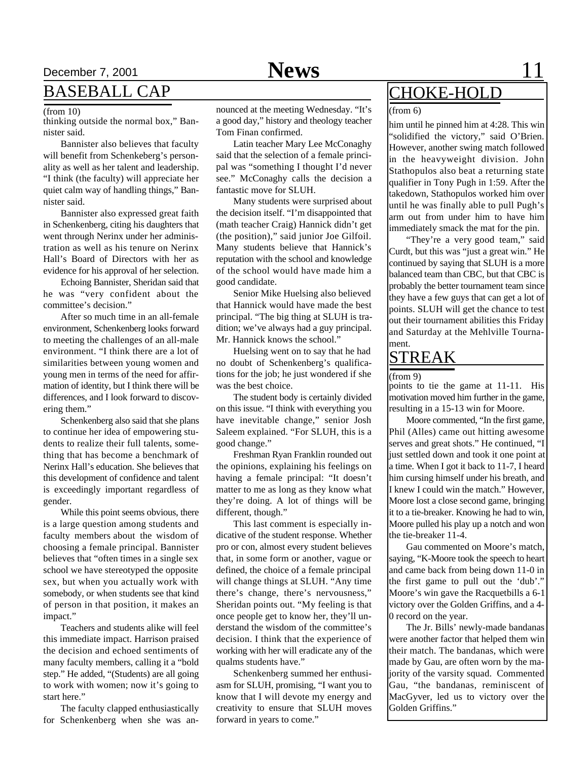## December 7, 2001 **News** 11

### BASEBALL CAP

#### (from 10)

thinking outside the normal box," Bannister said.

Bannister also believes that faculty will benefit from Schenkeberg's personality as well as her talent and leadership. "I think (the faculty) will appreciate her quiet calm way of handling things," Bannister said.

Bannister also expressed great faith in Schenkenberg, citing his daughters that went through Nerinx under her administration as well as his tenure on Nerinx Hall's Board of Directors with her as evidence for his approval of her selection.

Echoing Bannister, Sheridan said that he was "very confident about the committee's decision."

After so much time in an all-female environment, Schenkenberg looks forward to meeting the challenges of an all-male environment. "I think there are a lot of similarities between young women and young men in terms of the need for affirmation of identity, but I think there will be differences, and I look forward to discovering them."

Schenkenberg also said that she plans to continue her idea of empowering students to realize their full talents, something that has become a benchmark of Nerinx Hall's education. She believes that this development of confidence and talent is exceedingly important regardless of gender.

While this point seems obvious, there is a large question among students and faculty members about the wisdom of choosing a female principal. Bannister believes that "often times in a single sex school we have stereotyped the opposite sex, but when you actually work with somebody, or when students see that kind of person in that position, it makes an impact."

Teachers and students alike will feel this immediate impact. Harrison praised the decision and echoed sentiments of many faculty members, calling it a "bold step." He added, "(Students) are all going to work with women; now it's going to start here."

The faculty clapped enthusiastically for Schenkenberg when she was announced at the meeting Wednesday. "It's a good day," history and theology teacher Tom Finan confirmed.

Latin teacher Mary Lee McConaghy said that the selection of a female principal was "something I thought I'd never see." McConaghy calls the decision a fantastic move for SLUH.

Many students were surprised about the decision itself. "I'm disappointed that (math teacher Craig) Hannick didn't get (the position)," said junior Joe Gilfoil. Many students believe that Hannick's reputation with the school and knowledge of the school would have made him a good candidate.

Senior Mike Huelsing also believed that Hannick would have made the best principal. "The big thing at SLUH is tradition; we've always had a guy principal. Mr. Hannick knows the school."

Huelsing went on to say that he had no doubt of Schenkenberg's qualifications for the job; he just wondered if she was the best choice.

The student body is certainly divided on this issue. "I think with everything you have inevitable change," senior Josh Saleem explained. "For SLUH, this is a good change."

Freshman Ryan Franklin rounded out the opinions, explaining his feelings on having a female principal: "It doesn't matter to me as long as they know what they're doing. A lot of things will be different, though."

This last comment is especially indicative of the student response. Whether pro or con, almost every student believes that, in some form or another, vague or defined, the choice of a female principal will change things at SLUH. "Any time there's change, there's nervousness," Sheridan points out. "My feeling is that once people get to know her, they'll understand the wisdom of the committee's decision. I think that the experience of working with her will eradicate any of the qualms students have."

Schenkenberg summed her enthusiasm for SLUH, promising, "I want you to know that I will devote my energy and creativity to ensure that SLUH moves forward in years to come."

## CHOKE-HOLD

#### (from 6)

him until he pinned him at 4:28. This win "solidified the victory," said O'Brien. However, another swing match followed in the heavyweight division. John Stathopulos also beat a returning state qualifier in Tony Pugh in 1:59. After the takedown, Stathopulos worked him over until he was finally able to pull Pugh's arm out from under him to have him immediately smack the mat for the pin.

"They're a very good team," said Curdt, but this was "just a great win." He continued by saying that SLUH is a more balanced team than CBC, but that CBC is probably the better tournament team since they have a few guys that can get a lot of points. SLUH will get the chance to test out their tournament abilities this Friday and Saturday at the Mehlville Tournament.

### STREAK

#### (from 9)

points to tie the game at 11-11. His motivation moved him further in the game, resulting in a 15-13 win for Moore.

Moore commented, "In the first game, Phil (Alles) came out hitting awesome serves and great shots." He continued, "I just settled down and took it one point at a time. When I got it back to 11-7, I heard him cursing himself under his breath, and I knew I could win the match." However, Moore lost a close second game, bringing it to a tie-breaker. Knowing he had to win, Moore pulled his play up a notch and won the tie-breaker 11-4.

Gau commented on Moore's match, saying, "K-Moore took the speech to heart and came back from being down 11-0 in the first game to pull out the 'dub'." Moore's win gave the Racquetbills a 6-1 victory over the Golden Griffins, and a 4- 0 record on the year.

The Jr. Bills' newly-made bandanas were another factor that helped them win their match. The bandanas, which were made by Gau, are often worn by the majority of the varsity squad. Commented Gau, "the bandanas, reminiscent of MacGyver, led us to victory over the Golden Griffins."